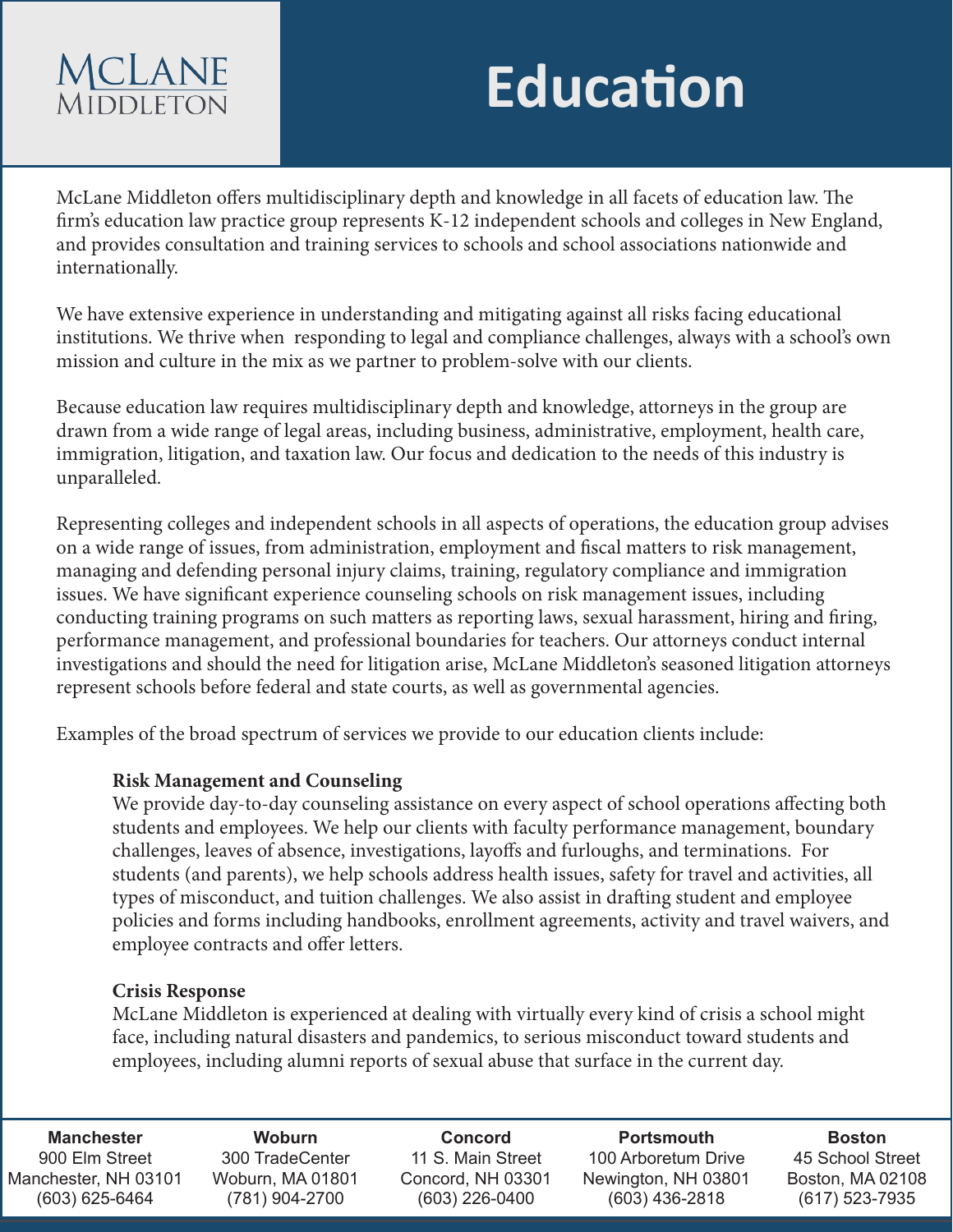# **MCLANE MIDDLETON**

# **Education**

McLane Middleton offers multidisciplinary depth and knowledge in all facets of education law. The firm's education law practice group represents K-12 independent schools and colleges in New England, and provides consultation and training services to schools and school associations nationwide and internationally.

We have extensive experience in understanding and mitigating against all risks facing educational institutions. We thrive when responding to legal and compliance challenges, always with a school's own mission and culture in the mix as we partner to problem-solve with our clients.

Because education law requires multidisciplinary depth and knowledge, attorneys in the group are drawn from a wide range of legal areas, including business, administrative, employment, health care, immigration, litigation, and taxation law. Our focus and dedication to the needs of this industry is unparalleled.

Representing colleges and independent schools in all aspects of operations, the education group advises on a wide range of issues, from administration, employment and fiscal matters to risk management, managing and defending personal injury claims, training, regulatory compliance and immigration issues. We have significant experience counseling schools on risk management issues, including conducting training programs on such matters as reporting laws, sexual harassment, hiring and firing, performance management, and professional boundaries for teachers. Our attorneys conduct internal investigations and should the need for litigation arise, McLane Middleton's seasoned litigation attorneys represent schools before federal and state courts, as well as governmental agencies.

Examples of the broad spectrum of services we provide to our education clients include:

## **Risk Management and Counseling**

We provide day-to-day counseling assistance on every aspect of school operations affecting both students and employees. We help our clients with faculty performance management, boundary challenges, leaves of absence, investigations, layoffs and furloughs, and terminations. For students (and parents), we help schools address health issues, safety for travel and activities, all types of misconduct, and tuition challenges. We also assist in drafting student and employee policies and forms including handbooks, enrollment agreements, activity and travel waivers, and employee contracts and offer letters.

### **Crisis Response**

McLane Middleton is experienced at dealing with virtually every kind of crisis a school might face, including natural disasters and pandemics, to serious misconduct toward students and employees, including alumni reports of sexual abuse that surface in the current day.

**Portsmouth** 100 Arboretum Drive Newington, NH 03801 (603) 436-2818 **Boston** 45 School Street Boston, MA 02108 (617) 523-7935 **Manchester** 900 Elm Street Manchester, NH 03101 (603) 625-6464 **Woburn** 300 TradeCenter Woburn, MA 01801 (781) 904-2700 **Concord** 11 S. Main Street Concord, NH 03301 (603) 226-0400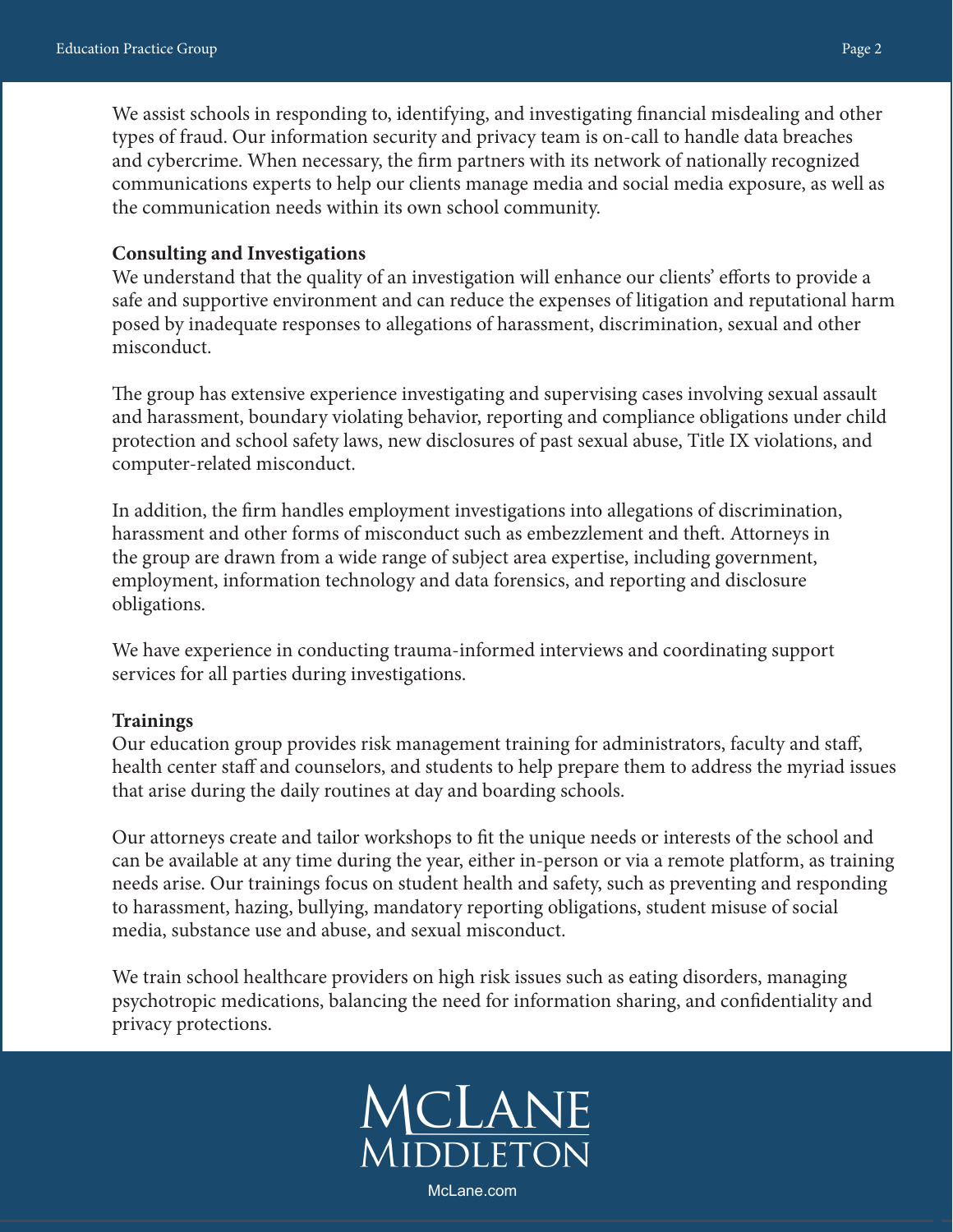We assist schools in responding to, identifying, and investigating financial misdealing and other types of fraud. Our information security and privacy team is on-call to handle data breaches and cybercrime. When necessary, the firm partners with its network of nationally recognized communications experts to help our clients manage media and social media exposure, as well as the communication needs within its own school community.

#### **Consulting and Investigations**

We understand that the quality of an investigation will enhance our clients' efforts to provide a safe and supportive environment and can reduce the expenses of litigation and reputational harm posed by inadequate responses to allegations of harassment, discrimination, sexual and other misconduct.

The group has extensive experience investigating and supervising cases involving sexual assault and harassment, boundary violating behavior, reporting and compliance obligations under child protection and school safety laws, new disclosures of past sexual abuse, Title IX violations, and computer-related misconduct.

In addition, the firm handles employment investigations into allegations of discrimination, harassment and other forms of misconduct such as embezzlement and theft. Attorneys in the group are drawn from a wide range of subject area expertise, including government, employment, information technology and data forensics, and reporting and disclosure obligations.

We have experience in conducting trauma-informed interviews and coordinating support services for all parties during investigations.

#### **Trainings**

Our education group provides risk management training for administrators, faculty and staff, health center staff and counselors, and students to help prepare them to address the myriad issues that arise during the daily routines at day and boarding schools.

Our attorneys create and tailor workshops to fit the unique needs or interests of the school and can be available at any time during the year, either in-person or via a remote platform, as training needs arise. Our trainings focus on student health and safety, such as preventing and responding to harassment, hazing, bullying, mandatory reporting obligations, student misuse of social media, substance use and abuse, and sexual misconduct.

We train school healthcare providers on high risk issues such as eating disorders, managing psychotropic medications, balancing the need for information sharing, and confidentiality and privacy protections.

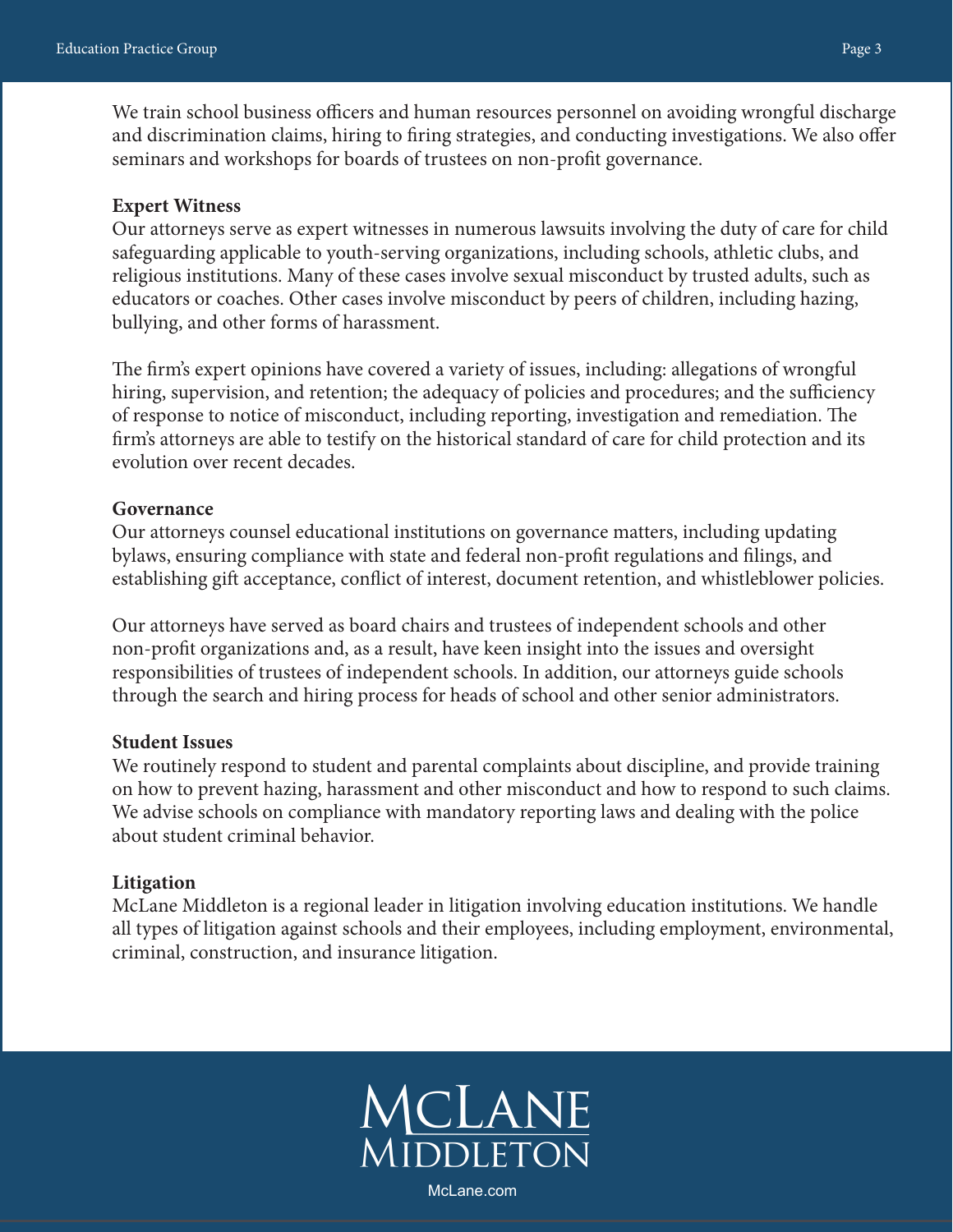We train school business officers and human resources personnel on avoiding wrongful discharge and discrimination claims, hiring to firing strategies, and conducting investigations. We also offer seminars and workshops for boards of trustees on non-profit governance.

#### **Expert Witness**

Our attorneys serve as expert witnesses in numerous lawsuits involving the duty of care for child safeguarding applicable to youth-serving organizations, including schools, athletic clubs, and religious institutions. Many of these cases involve sexual misconduct by trusted adults, such as educators or coaches. Other cases involve misconduct by peers of children, including hazing, bullying, and other forms of harassment.

The firm's expert opinions have covered a variety of issues, including: allegations of wrongful hiring, supervision, and retention; the adequacy of policies and procedures; and the sufficiency of response to notice of misconduct, including reporting, investigation and remediation. The firm's attorneys are able to testify on the historical standard of care for child protection and its evolution over recent decades.

#### **Governance**

Our attorneys counsel educational institutions on governance matters, including updating bylaws, ensuring compliance with state and federal non-profit regulations and filings, and establishing gift acceptance, conflict of interest, document retention, and whistleblower policies.

Our attorneys have served as board chairs and trustees of independent schools and other non-profit organizations and, as a result, have keen insight into the issues and oversight responsibilities of trustees of independent schools. In addition, our attorneys guide schools through the search and hiring process for heads of school and other senior administrators.

#### **Student Issues**

We routinely respond to student and parental complaints about discipline, and provide training on how to prevent hazing, harassment and other misconduct and how to respond to such claims. We advise schools on compliance with mandatory reporting laws and dealing with the police about student criminal behavior.

#### **Litigation**

McLane Middleton is a regional leader in litigation involving education institutions. We handle all types of litigation against schools and their employees, including employment, environmental, criminal, construction, and insurance litigation.

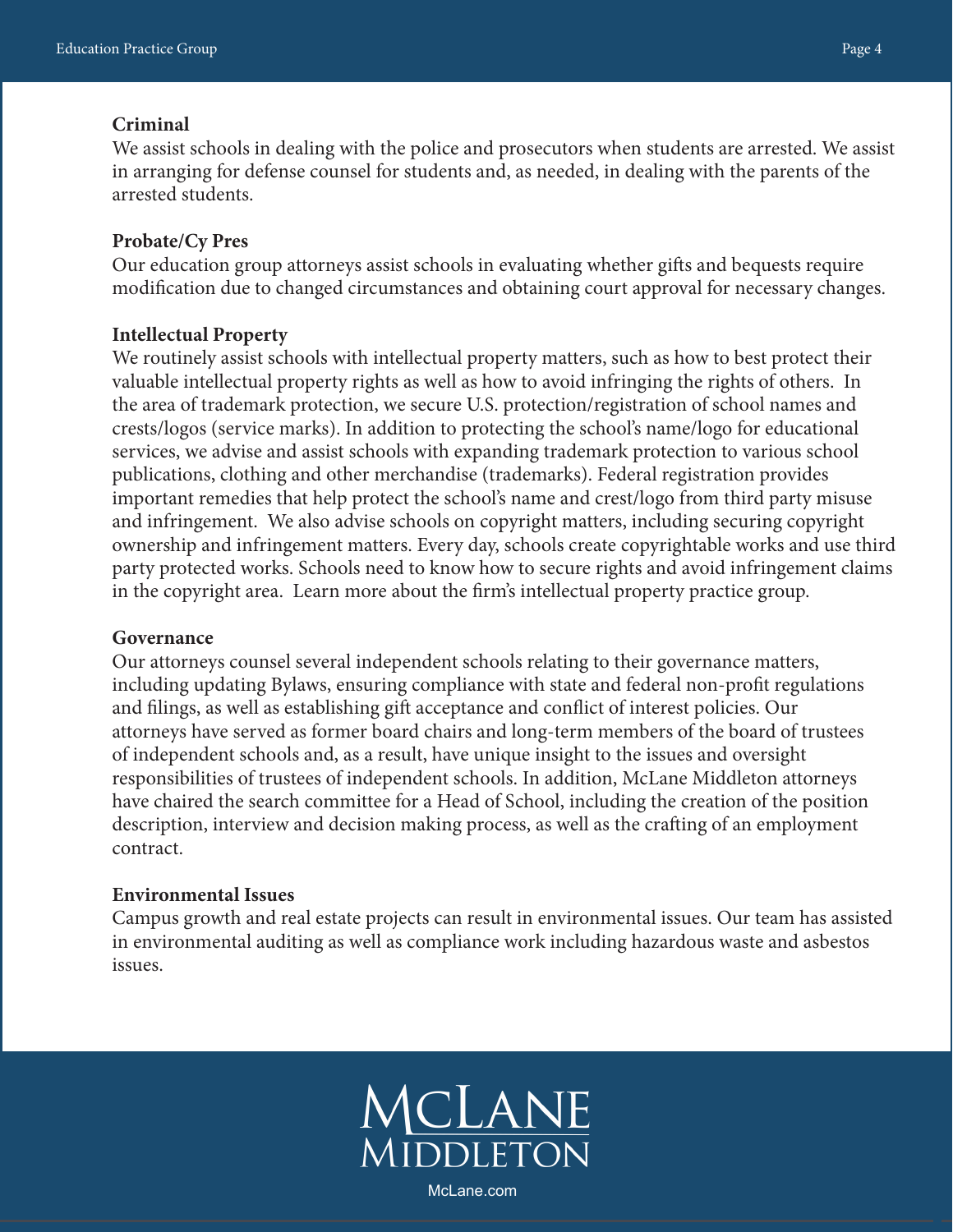#### **Criminal**

We assist schools in dealing with the police and prosecutors when students are arrested. We assist in arranging for defense counsel for students and, as needed, in dealing with the parents of the arrested students.

#### **Probate/Cy Pres**

Our education group attorneys assist schools in evaluating whether gifts and bequests require modification due to changed circumstances and obtaining court approval for necessary changes.

#### **Intellectual Property**

We routinely assist schools with intellectual property matters, such as how to best protect their valuable intellectual property rights as well as how to avoid infringing the rights of others. In the area of trademark protection, we secure U.S. protection/registration of school names and crests/logos (service marks). In addition to protecting the school's name/logo for educational services, we advise and assist schools with expanding trademark protection to various school publications, clothing and other merchandise (trademarks). Federal registration provides important remedies that help protect the school's name and crest/logo from third party misuse and infringement. We also advise schools on copyright matters, including securing copyright ownership and infringement matters. Every day, schools create copyrightable works and use third party protected works. Schools need to know how to secure rights and avoid infringement claims in the copyright area. Learn more about the firm's intellectual property practice group.

#### **Governance**

Our attorneys counsel several independent schools relating to their governance matters, including updating Bylaws, ensuring compliance with state and federal non-profit regulations and filings, as well as establishing gift acceptance and conflict of interest policies. Our attorneys have served as former board chairs and long-term members of the board of trustees of independent schools and, as a result, have unique insight to the issues and oversight responsibilities of trustees of independent schools. In addition, McLane Middleton attorneys have chaired the search committee for a Head of School, including the creation of the position description, interview and decision making process, as well as the crafting of an employment contract.

#### **Environmental Issues**

Campus growth and real estate projects can result in environmental issues. Our team has assisted in environmental auditing as well as compliance work including hazardous waste and asbestos issues.